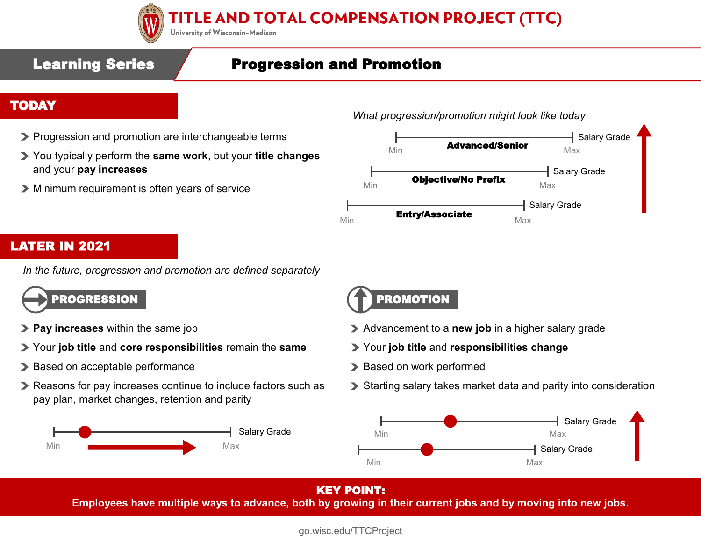

# TITLE AND TOTAL COMPENSATION PROJECT (TTC)

University of Wisconsin-Madison

# Learning Series / Progression and Promotion

### TODAY

- **Progression and promotion are interchangeable terms**
- You typically perform the **same work**, but your **title changes** and your **pay increases**
- Minimum requirement is often years of service

*What progression/promotion might look like today* 



### LATER IN 2021

*In the future, progression and promotion are defined separately* 



- **Pay increases** within the same job
- Your **job title** and **core responsibilities** remain the **same**
- > Based on acceptable performance
- Reasons for pay increases continue to include factors such as pay plan, market changes, retention and parity





- Advancement to a **new job** in a higher salary grade
- Your **job title** and **responsibilities change**
- > Based on work performed
- Starting salary takes market data and parity into consideration



### KEY POINT:

**Employees have multiple ways to advance, both by growing in their current jobs and by moving into new jobs.**

go.wisc.edu/TTCProject